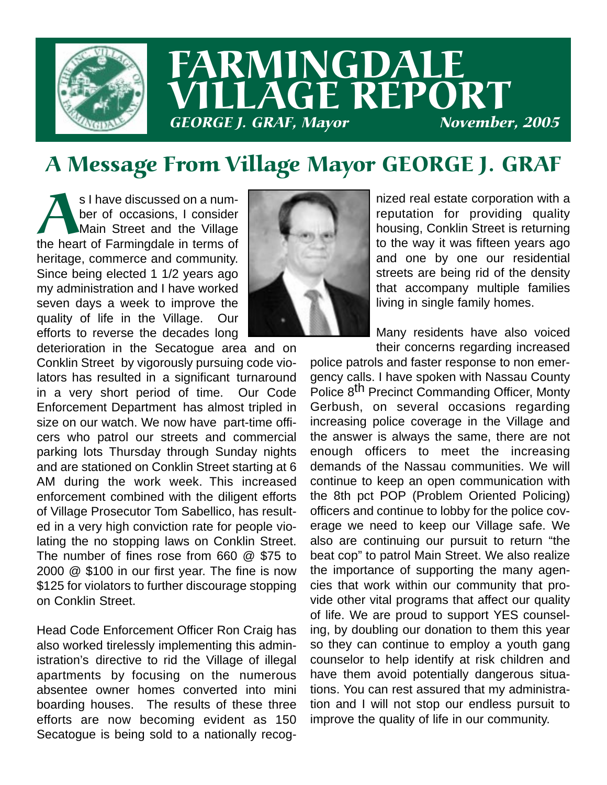

# FARMINGDALE LLAGE REPORT GEORGE J. GRAF, Mayor

## A Message From Village Mayor GEORGE J. GRAF

S I have discussed on a number of occasions, I consider<br>
Main Street and the Village<br>
the heart of Farmingdale in terms of ber of occasions, I consider Main Street and the Village heritage, commerce and community. Since being elected 1 1/2 years ago my administration and I have worked seven days a week to improve the quality of life in the Village. Our efforts to reverse the decades long



deterioration in the Secatogue area and on Conklin Street by vigorously pursuing code violators has resulted in a significant turnaround in a very short period of time. Our Code Enforcement Department has almost tripled in size on our watch. We now have part-time officers who patrol our streets and commercial parking lots Thursday through Sunday nights and are stationed on Conklin Street starting at 6 AM during the work week. This increased enforcement combined with the diligent efforts of Village Prosecutor Tom Sabellico, has resulted in a very high conviction rate for people violating the no stopping laws on Conklin Street. The number of fines rose from 660 @ \$75 to 2000 @ \$100 in our first year. The fine is now \$125 for violators to further discourage stopping on Conklin Street.

Head Code Enforcement Officer Ron Craig has also worked tirelessly implementing this administration's directive to rid the Village of illegal apartments by focusing on the numerous absentee owner homes converted into mini boarding houses. The results of these three efforts are now becoming evident as 150 Secatogue is being sold to a nationally recog-

nized real estate corporation with a reputation for providing quality housing, Conklin Street is returning to the way it was fifteen years ago and one by one our residential streets are being rid of the density that accompany multiple families living in single family homes.

Many residents have also voiced their concerns regarding increased

police patrols and faster response to non emergency calls. I have spoken with Nassau County Police 8<sup>th</sup> Precinct Commanding Officer, Monty Gerbush, on several occasions regarding increasing police coverage in the Village and the answer is always the same, there are not enough officers to meet the increasing demands of the Nassau communities. We will continue to keep an open communication with the 8th pct POP (Problem Oriented Policing) officers and continue to lobby for the police coverage we need to keep our Village safe. We also are continuing our pursuit to return "the beat cop" to patrol Main Street. We also realize the importance of supporting the many agencies that work within our community that provide other vital programs that affect our quality of life. We are proud to support YES counseling, by doubling our donation to them this year so they can continue to employ a youth gang counselor to help identify at risk children and have them avoid potentially dangerous situations. You can rest assured that my administration and I will not stop our endless pursuit to improve the quality of life in our community.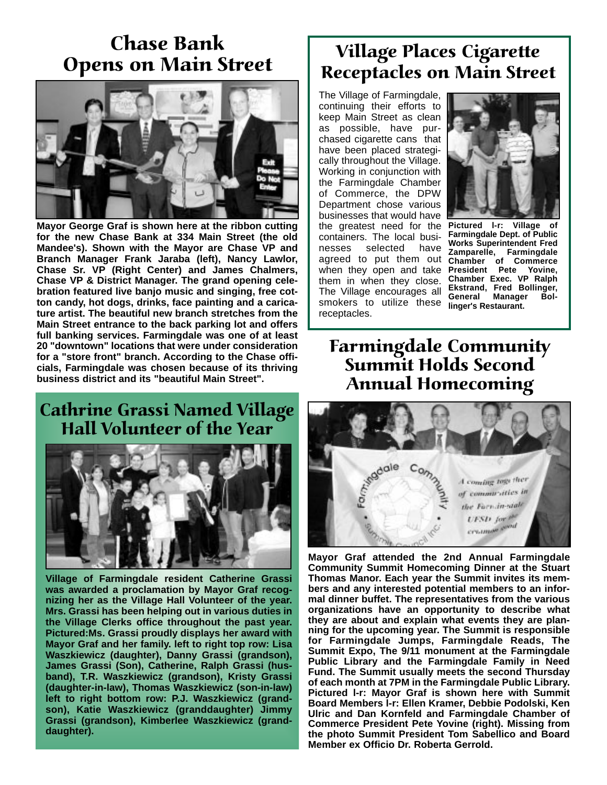#### Chase Bank Opens on Main Street



**Mayor George Graf is shown here at the ribbon cutting for the new Chase Bank at 334 Main Street (the old Mandee's). Shown with the Mayor are Chase VP and Branch Manager Frank Jaraba (left), Nancy Lawlor, Chase Sr. VP (Right Center) and James Chalmers, Chase VP & District Manager. The grand opening celebration featured live banjo music and singing, free cotton candy, hot dogs, drinks, face painting and a caricature artist. The beautiful new branch stretches from the Main Street entrance to the back parking lot and offers full banking services. Farmingdale was one of at least 20 "downtown" locations that were under consideration for a "store front" branch. According to the Chase officials, Farmingdale was chosen because of its thriving business district and its "beautiful Main Street".**

#### Cathrine Grassi Named Village Hall Volunteer of the Year



**Village of Farmingdale resident Catherine Grassi was awarded a proclamation by Mayor Graf recognizing her as the Village Hall Volunteer of the year. Mrs. Grassi has been helping out in various duties in the Village Clerks office throughout the past year. Pictured:Ms. Grassi proudly displays her award with Mayor Graf and her family. left to right top row: Lisa Waszkiewicz (daughter), Danny Grassi (grandson), James Grassi (Son), Catherine, Ralph Grassi (husband), T.R. Waszkiewicz (grandson), Kristy Grassi (daughter-in-law), Thomas Waszkiewicz (son-in-law) left to right bottom row: P.J. Waszkiewicz (grandson), Katie Waszkiewicz (granddaughter) Jimmy Grassi (grandson), Kimberlee Waszkiewicz (granddaughter).**

### Village Places Cigarette Receptacles on Main Street

The Village of Farmingdale, continuing their efforts to keep Main Street as clean as possible, have purchased cigarette cans that have been placed strategically throughout the Village. Working in conjunction with the Farmingdale Chamber of Commerce, the DPW Department chose various businesses that would have the greatest need for the **Pictured l-r: Village of** containers. The local businesses selected have agreed to put them out agreed to put them out chamber of Commerce<br>when they open and take President Pete Yovine, them in when they close. The Village encourages all smokers to utilize these **General Manager Bol**receptacles.



**Farmingdale Dept. of Public Works Superintendent Fred Zamparelle, Farmingdale President Pete Yovine, Chamber Exec. VP Ralph Ekstrand, Fred Bollinger, linger's Restaurant.** 

#### Farmingdale Community Summit Holds Second Annual Homecoming



**Mayor Graf attended the 2nd Annual Farmingdale Community Summit Homecoming Dinner at the Stuart Thomas Manor. Each year the Summit invites its members and any interested potential members to an informal dinner buffet. The representatives from the various organizations have an opportunity to describe what they are about and explain what events they are planning for the upcoming year. The Summit is responsible for Farmingdale Jumps, Farmingdale Reads, The Summit Expo, The 9/11 monument at the Farmingdale Public Library and the Farmingdale Family in Need Fund. The Summit usually meets the second Thursday of each month at 7PM in the Farmingdale Public Library. Pictured l-r: Mayor Graf is shown here with Summit Board Members l-r: Ellen Kramer, Debbie Podolski, Ken Ulric and Dan Kornfeld and Farmingdale Chamber of Commerce President Pete Yovine (right). Missing from the photo Summit President Tom Sabellico and Board Member ex Officio Dr. Roberta Gerrold.**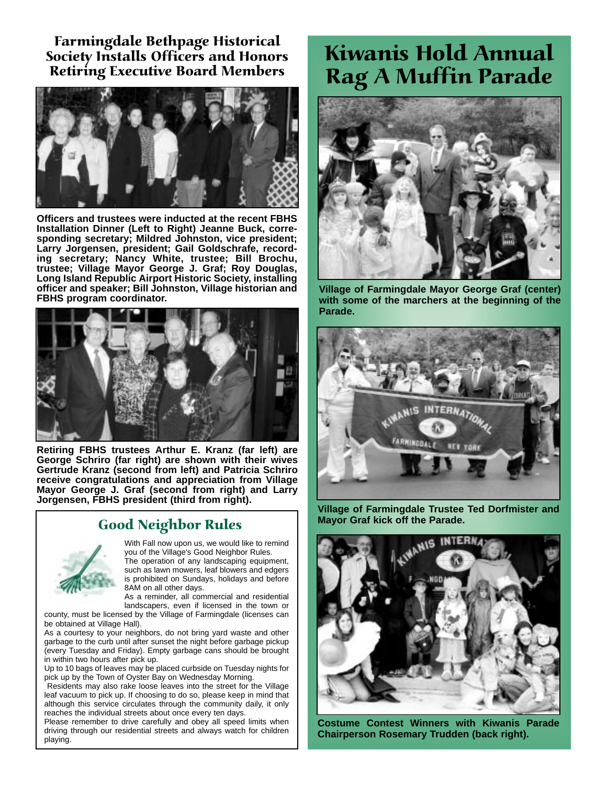Farmingdale Bethpage Historical Society Installs Officers and Honors Retiring Executive Board Members



**Officers and trustees were inducted at the recent FBHS Installation Dinner (Left to Right) Jeanne Buck, corresponding secretary; Mildred Johnston, vice president; Larry Jorgensen, president; Gail Goldschrafe, recording secretary; Nancy White, trustee; Bill Brochu, trustee; Village Mayor George J. Graf; Roy Douglas, Long Island Republic Airport Historic Society, installing officer and speaker; Bill Johnston, Village historian and FBHS program coordinator.**



**Retiring FBHS trustees Arthur E. Kranz (far left) are George Schriro (far right) are shown with their wives Gertrude Kranz (second from left) and Patricia Schriro receive congratulations and appreciation from Village Mayor George J. Graf (second from right) and Larry Jorgensen, FBHS president (third from right).**

#### Good Neighbor Rules



With Fall now upon us, we would like to remind you of the Village's Good Neighbor Rules. The operation of any landscaping equipment, such as lawn mowers, leaf blowers and edgers

is prohibited on Sundays, holidays and before 8AM on all other days. As a reminder, all commercial and residential

landscapers, even if licensed in the town or

county, must be licensed by the Village of Farmingdale (licenses can be obtained at Village Hall).

As a courtesy to your neighbors, do not bring yard waste and other garbage to the curb until after sunset the night before garbage pickup (every Tuesday and Friday). Empty garbage cans should be brought in within two hours after pick up.

Up to 10 bags of leaves may be placed curbside on Tuesday nights for pick up by the Town of Oyster Bay on Wednesday Morning.

Residents may also rake loose leaves into the street for the Village leaf vacuum to pick up. If choosing to do so, please keep in mind that although this service circulates through the community daily, it only reaches the individual streets about once every ten days.

Please remember to drive carefully and obey all speed limits when driving through our residential streets and always watch for children playing.

### Kiwanis Hold Annual Rag A Muffin Parade



**Village of Farmingdale Mayor George Graf (center) with some of the marchers at the beginning of the Parade.**



**Village of Farmingdale Trustee Ted Dorfmister and Mayor Graf kick off the Parade.**



**Costume Contest Winners with Kiwanis Parade Chairperson Rosemary Trudden (back right).**